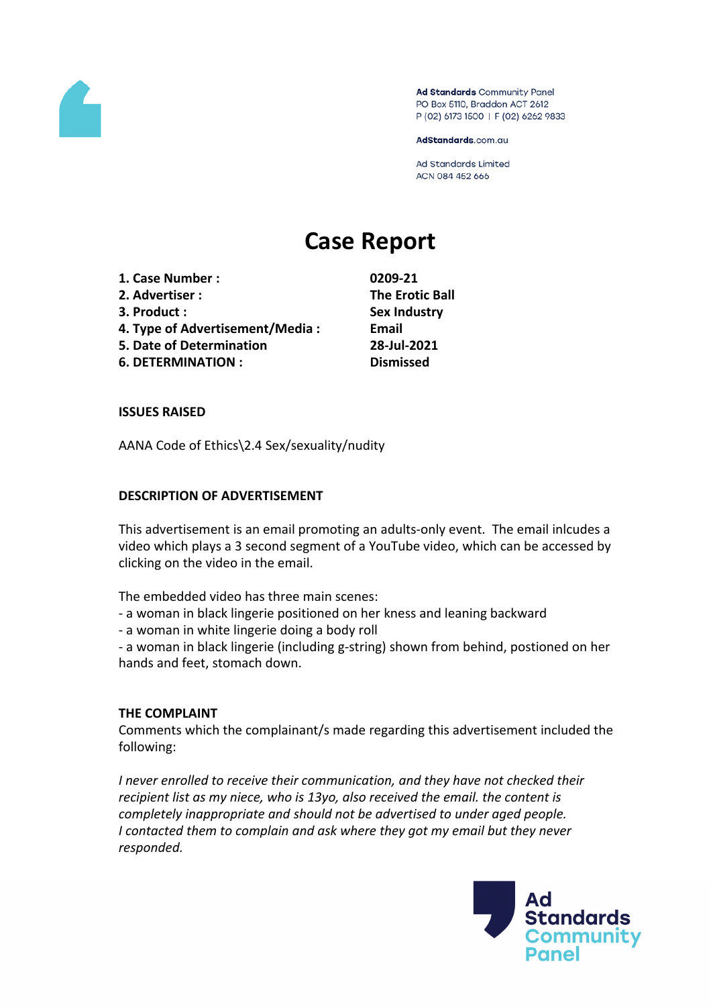

Ad Standards Community Panel PO Box 5110, Braddon ACT 2612 P (02) 6173 1500 | F (02) 6262 9833

AdStandards.com.au

**Ad Standards Limited** ACN 084 452 666

# **Case Report**

- **1. Case Number : 0209-21**
- **2. Advertiser : The Erotic Ball**
- 
- **4. Type of Advertisement/Media : Email**
- **5. Date of Determination 28-Jul-2021**
- **6. DETERMINATION : Dismissed**

**3. Product : Sex Industry**

# **ISSUES RAISED**

AANA Code of Ethics\2.4 Sex/sexuality/nudity

# **DESCRIPTION OF ADVERTISEMENT**

This advertisement is an email promoting an adults-only event. The email inlcudes a video which plays a 3 second segment of a YouTube video, which can be accessed by clicking on the video in the email.

The embedded video has three main scenes:

- a woman in black lingerie positioned on her kness and leaning backward
- a woman in white lingerie doing a body roll

- a woman in black lingerie (including g-string) shown from behind, postioned on her hands and feet, stomach down.

#### **THE COMPLAINT**

Comments which the complainant/s made regarding this advertisement included the following:

*I never enrolled to receive their communication, and they have not checked their recipient list as my niece, who is 13yo, also received the email. the content is completely inappropriate and should not be advertised to under aged people. I contacted them to complain and ask where they got my email but they never responded.*

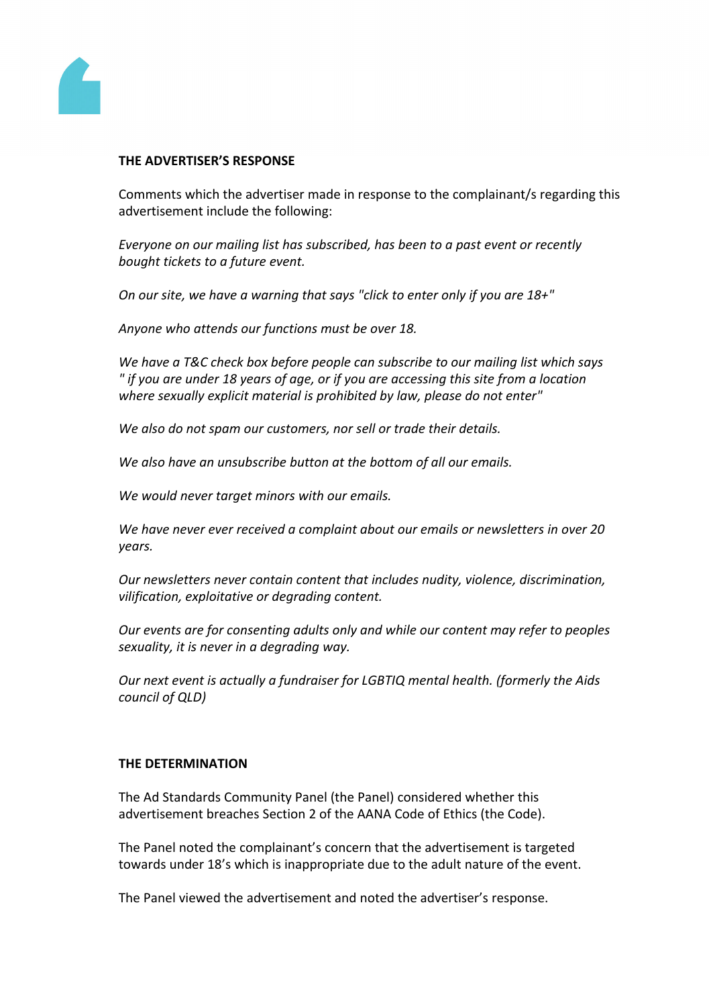

#### **THE ADVERTISER'S RESPONSE**

Comments which the advertiser made in response to the complainant/s regarding this advertisement include the following:

*Everyone on our mailing list has subscribed, has been to a past event or recently bought tickets to a future event.*

*On our site, we have a warning that says "click to enter only if you are 18+"*

*Anyone who attends our functions must be over 18.*

*We have a T&C check box before people can subscribe to our mailing list which says " if you are under 18 years of age, or if you are accessing this site from a location where sexually explicit material is prohibited by law, please do not enter"*

*We also do not spam our customers, nor sell or trade their details.*

*We also have an unsubscribe button at the bottom of all our emails.*

*We would never target minors with our emails.*

*We have never ever received a complaint about our emails or newsletters in over 20 years.*

*Our newsletters never contain content that includes nudity, violence, discrimination, vilification, exploitative or degrading content.*

*Our events are for consenting adults only and while our content may refer to peoples sexuality, it is never in a degrading way.*

*Our next event is actually a fundraiser for LGBTIQ mental health. (formerly the Aids council of QLD)*

#### **THE DETERMINATION**

The Ad Standards Community Panel (the Panel) considered whether this advertisement breaches Section 2 of the AANA Code of Ethics (the Code).

The Panel noted the complainant's concern that the advertisement is targeted towards under 18's which is inappropriate due to the adult nature of the event.

The Panel viewed the advertisement and noted the advertiser's response.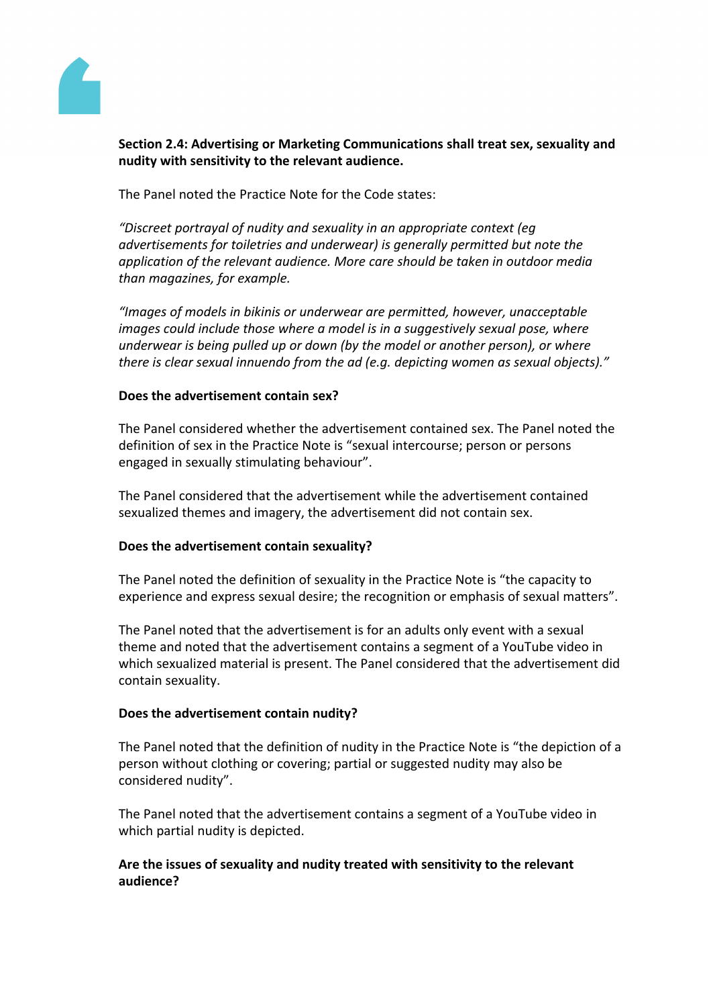

# **Section 2.4: Advertising or Marketing Communications shall treat sex, sexuality and nudity with sensitivity to the relevant audience.**

The Panel noted the Practice Note for the Code states:

*"Discreet portrayal of nudity and sexuality in an appropriate context (eg advertisements for toiletries and underwear) is generally permitted but note the application of the relevant audience. More care should be taken in outdoor media than magazines, for example.*

*"Images of models in bikinis or underwear are permitted, however, unacceptable images could include those where a model is in a suggestively sexual pose, where underwear is being pulled up or down (by the model or another person), or where there is clear sexual innuendo from the ad (e.g. depicting women as sexual objects)."*

#### **Does the advertisement contain sex?**

The Panel considered whether the advertisement contained sex. The Panel noted the definition of sex in the Practice Note is "sexual intercourse; person or persons engaged in sexually stimulating behaviour".

The Panel considered that the advertisement while the advertisement contained sexualized themes and imagery, the advertisement did not contain sex.

#### **Does the advertisement contain sexuality?**

The Panel noted the definition of sexuality in the Practice Note is "the capacity to experience and express sexual desire; the recognition or emphasis of sexual matters".

The Panel noted that the advertisement is for an adults only event with a sexual theme and noted that the advertisement contains a segment of a YouTube video in which sexualized material is present. The Panel considered that the advertisement did contain sexuality.

#### **Does the advertisement contain nudity?**

The Panel noted that the definition of nudity in the Practice Note is "the depiction of a person without clothing or covering; partial or suggested nudity may also be considered nudity".

The Panel noted that the advertisement contains a segment of a YouTube video in which partial nudity is depicted.

# **Are the issues of sexuality and nudity treated with sensitivity to the relevant audience?**